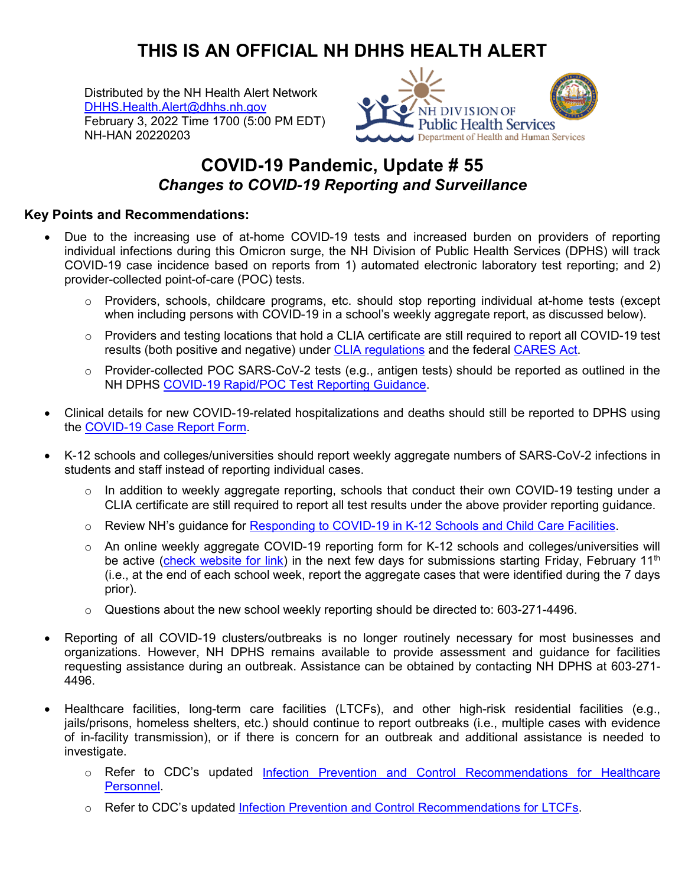## **THIS IS AN OFFICIAL NH DHHS HEALTH ALERT**

Distributed by the NH Health Alert Network [DHHS.Health.Alert@dhhs.nh.gov](mailto:DHHS.Health.Alert@dhhs.nh.gov) February 3, 2022 Time 1700 (5:00 PM EDT) NH-HAN 20220203



## **COVID-19 Pandemic, Update # 55** *Changes to COVID-19 Reporting and Surveillance*

## **Key Points and Recommendations:**

- Due to the increasing use of at-home COVID-19 tests and increased burden on providers of reporting individual infections during this Omicron surge, the NH Division of Public Health Services (DPHS) will track COVID-19 case incidence based on reports from 1) automated electronic laboratory test reporting; and 2) provider-collected point-of-care (POC) tests.
	- $\circ$  Providers, schools, childcare programs, etc. should stop reporting individual at-home tests (except when including persons with COVID-19 in a school's weekly aggregate report, as discussed below).
	- $\circ$  Providers and testing locations that hold a CLIA certificate are still required to report all COVID-19 test results (both positive and negative) under [CLIA regulations](https://www.cms.gov/files/document/qso-20-37-clianh.pdf) and the federal [CARES Act.](https://www.hhs.gov/sites/default/files/covid-19-laboratory-data-reporting-guidance.pdf)
	- o Provider-collected POC SARS-CoV-2 tests (e.g., antigen tests) should be reported as outlined in the NH DPHS [COVID-19 Rapid/POC Test Reporting Guidance.](https://www.covid19.nh.gov/resources/general-provider-covid-19-resources-and-information)
- Clinical details for new COVID-19-related hospitalizations and deaths should still be reported to DPHS using the [COVID-19 Case Report Form.](https://www.dhhs.nh.gov/dphs/cdcs/covid19/covid19-reporting-form.pdf)
- K-12 schools and colleges/universities should report weekly aggregate numbers of SARS-CoV-2 infections in students and staff instead of reporting individual cases.
	- $\circ$  In addition to weekly aggregate reporting, schools that conduct their own COVID-19 testing under a CLIA certificate are still required to report all test results under the above provider reporting guidance.
	- o Review NH's guidance for [Responding to COVID-19 in K-12 Schools and Child Care Facilities.](https://www.covid19.nh.gov/sites/g/files/ehbemt481/files/inline-documents/sonh/covid19-response-02022022.pdf)
	- $\circ$  An online weekly aggregate COVID-19 reporting form for K-12 schools and colleges/universities will be active [\(check website for link\)](https://www.covid19.nh.gov/resources/schools) in the next few days for submissions starting Friday, February 11<sup>th</sup> (i.e., at the end of each school week, report the aggregate cases that were identified during the 7 days prior).
	- $\circ$  Questions about the new school weekly reporting should be directed to: 603-271-4496.
- Reporting of all COVID-19 clusters/outbreaks is no longer routinely necessary for most businesses and organizations. However, NH DPHS remains available to provide assessment and guidance for facilities requesting assistance during an outbreak. Assistance can be obtained by contacting NH DPHS at 603-271- 4496.
- Healthcare facilities, long-term care facilities (LTCFs), and other high-risk residential facilities (e.g., jails/prisons, homeless shelters, etc.) should continue to report outbreaks (i.e., multiple cases with evidence of in-facility transmission), or if there is concern for an outbreak and additional assistance is needed to investigate.
	- o Refer to CDC's updated [Infection Prevention and Control Recommendations for Healthcare](https://www.cdc.gov/coronavirus/2019-ncov/hcp/infection-control-recommendations.html)  [Personnel.](https://www.cdc.gov/coronavirus/2019-ncov/hcp/infection-control-recommendations.html)
	- o Refer to CDC's updated [Infection Prevention and Control Recommendations for LTCFs.](https://www.cdc.gov/coronavirus/2019-ncov/hcp/long-term-care.html)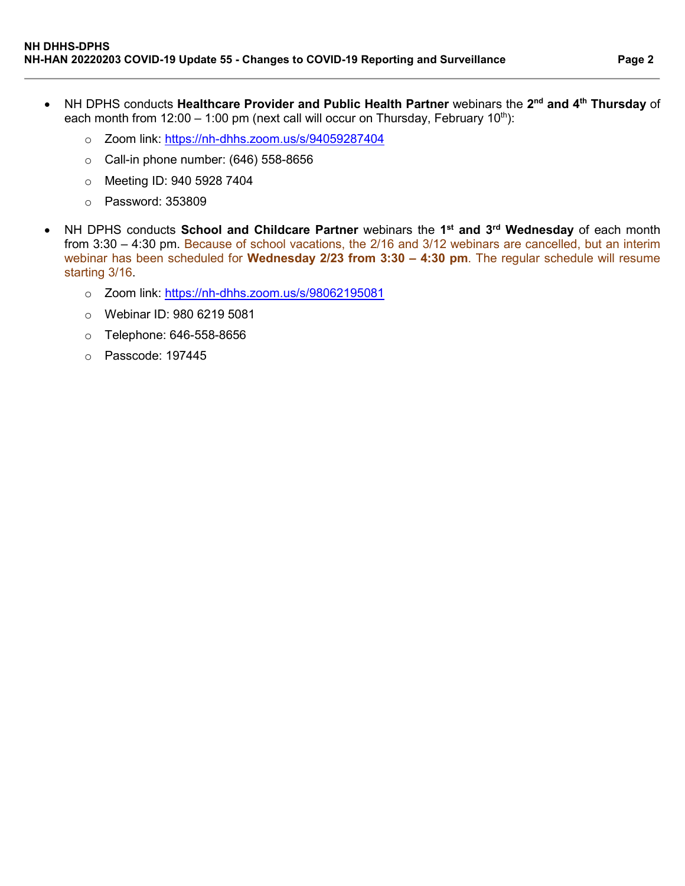- NH DPHS conducts **Healthcare Provider and Public Health Partner** webinars the **2nd and 4th Thursday** of each month from 12:00 – 1:00 pm (next call will occur on Thursday, February 10<sup>th</sup>):
	- o Zoom link:<https://nh-dhhs.zoom.us/s/94059287404>
	- $\circ$  Call-in phone number: (646) 558-8656
	- o Meeting ID: 940 5928 7404
	- o Password: 353809
- NH DPHS conducts **School and Childcare Partner** webinars the **1st and 3rd Wednesday** of each month from 3:30 – 4:30 pm. Because of school vacations, the 2/16 and 3/12 webinars are cancelled, but an interim webinar has been scheduled for **Wednesday 2/23 from 3:30 – 4:30 pm**. The regular schedule will resume starting 3/16.
	- o Zoom link:<https://nh-dhhs.zoom.us/s/98062195081>
	- o Webinar ID: 980 6219 5081
	- o Telephone: 646-558-8656
	- o Passcode: 197445